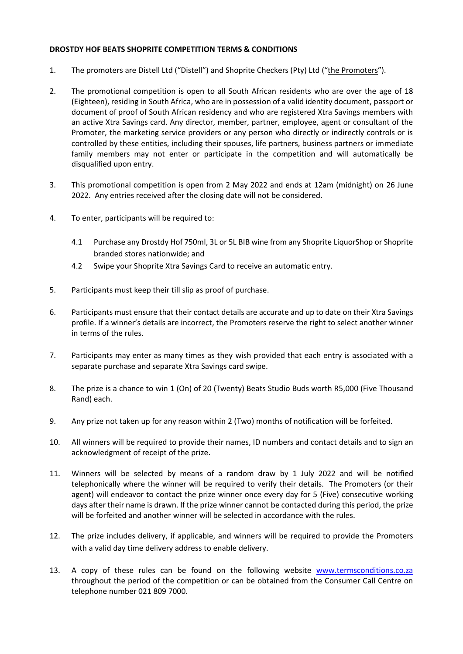## **DROSTDY HOF BEATS SHOPRITE COMPETITION TERMS & CONDITIONS**

- 1. The promoters are Distell Ltd ("Distell") and Shoprite Checkers (Pty) Ltd ("the Promoters").
- 2. The promotional competition is open to all South African residents who are over the age of 18 (Eighteen), residing in South Africa, who are in possession of a valid identity document, passport or document of proof of South African residency and who are registered Xtra Savings members with an active Xtra Savings card. Any director, member, partner, employee, agent or consultant of the Promoter, the marketing service providers or any person who directly or indirectly controls or is controlled by these entities, including their spouses, life partners, business partners or immediate family members may not enter or participate in the competition and will automatically be disqualified upon entry.
- 3. This promotional competition is open from 2 May 2022 and ends at 12am (midnight) on 26 June 2022. Any entries received after the closing date will not be considered.
- 4. To enter, participants will be required to:
	- 4.1 Purchase any Drostdy Hof 750ml, 3L or 5L BIB wine from any Shoprite LiquorShop or Shoprite branded stores nationwide; and
	- 4.2 Swipe your Shoprite Xtra Savings Card to receive an automatic entry.
- 5. Participants must keep their till slip as proof of purchase.
- 6. Participants must ensure that their contact details are accurate and up to date on their Xtra Savings profile. If a winner's details are incorrect, the Promoters reserve the right to select another winner in terms of the rules.
- 7. Participants may enter as many times as they wish provided that each entry is associated with a separate purchase and separate Xtra Savings card swipe.
- 8. The prize is a chance to win 1 (On) of 20 (Twenty) Beats Studio Buds worth R5,000 (Five Thousand Rand) each.
- 9. Any prize not taken up for any reason within 2 (Two) months of notification will be forfeited.
- 10. All winners will be required to provide their names, ID numbers and contact details and to sign an acknowledgment of receipt of the prize.
- 11. Winners will be selected by means of a random draw by 1 July 2022 and will be notified telephonically where the winner will be required to verify their details. The Promoters (or their agent) will endeavor to contact the prize winner once every day for 5 (Five) consecutive working days after their name is drawn. If the prize winner cannot be contacted during this period, the prize will be forfeited and another winner will be selected in accordance with the rules.
- 12. The prize includes delivery, if applicable, and winners will be required to provide the Promoters with a valid day time delivery address to enable delivery.
- 13. A copy of these rules can be found on the following website [www.termsconditions.co.za](http://www.termsconditions.co.za/) throughout the period of the competition or can be obtained from the Consumer Call Centre on telephone number 021 809 7000.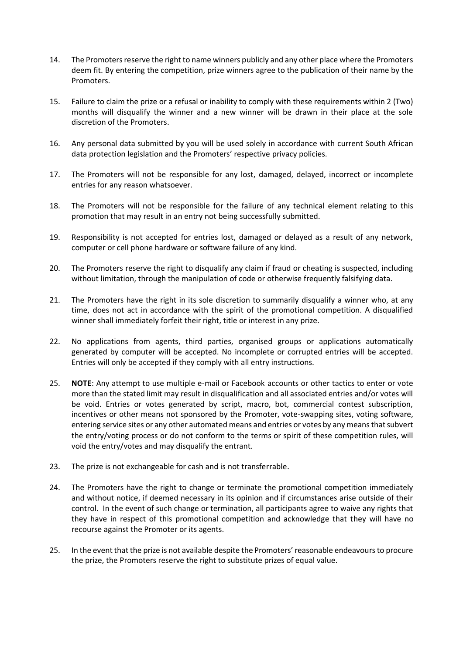- 14. The Promoters reserve the right to name winners publicly and any other place where the Promoters deem fit. By entering the competition, prize winners agree to the publication of their name by the Promoters.
- 15. Failure to claim the prize or a refusal or inability to comply with these requirements within 2 (Two) months will disqualify the winner and a new winner will be drawn in their place at the sole discretion of the Promoters.
- 16. Any personal data submitted by you will be used solely in accordance with current South African data protection legislation and the Promoters' respective privacy policies.
- 17. The Promoters will not be responsible for any lost, damaged, delayed, incorrect or incomplete entries for any reason whatsoever.
- 18. The Promoters will not be responsible for the failure of any technical element relating to this promotion that may result in an entry not being successfully submitted.
- 19. Responsibility is not accepted for entries lost, damaged or delayed as a result of any network, computer or cell phone hardware or software failure of any kind.
- 20. The Promoters reserve the right to disqualify any claim if fraud or cheating is suspected, including without limitation, through the manipulation of code or otherwise frequently falsifying data.
- 21. The Promoters have the right in its sole discretion to summarily disqualify a winner who, at any time, does not act in accordance with the spirit of the promotional competition. A disqualified winner shall immediately forfeit their right, title or interest in any prize.
- 22. No applications from agents, third parties, organised groups or applications automatically generated by computer will be accepted. No incomplete or corrupted entries will be accepted. Entries will only be accepted if they comply with all entry instructions.
- 25. **NOTE**: Any attempt to use multiple e-mail or Facebook accounts or other tactics to enter or vote more than the stated limit may result in disqualification and all associated entries and/or votes will be void. Entries or votes generated by script, macro, bot, commercial contest subscription, incentives or other means not sponsored by the Promoter, vote-swapping sites, voting software, entering service sites or any other automated means and entries or votes by any means that subvert the entry/voting process or do not conform to the terms or spirit of these competition rules, will void the entry/votes and may disqualify the entrant.
- 23. The prize is not exchangeable for cash and is not transferrable.
- 24. The Promoters have the right to change or terminate the promotional competition immediately and without notice, if deemed necessary in its opinion and if circumstances arise outside of their control. In the event of such change or termination, all participants agree to waive any rights that they have in respect of this promotional competition and acknowledge that they will have no recourse against the Promoter or its agents.
- 25. In the event that the prize is not available despite the Promoters' reasonable endeavours to procure the prize, the Promoters reserve the right to substitute prizes of equal value.